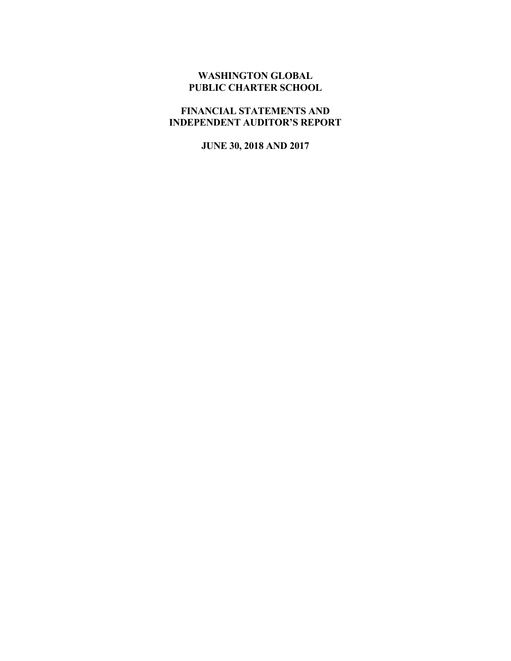# **WASHINGTON GLOBAL PUBLIC CHARTER SCHOOL**

# **FINANCIAL STATEMENTS AND INDEPENDENT AUDITOR'S REPORT**

**JUNE 30, 2018 AND 2017**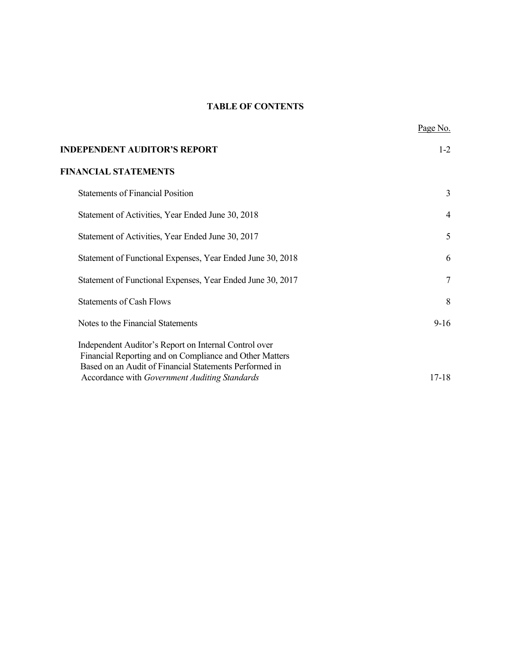## **TABLE OF CONTENTS**

**INDEPENDENT AUDITOR'S REPORT** 

**FINANCIAL STATEMENTS**

| EPENDENT AUDITOR'S REPORT                                  | $1 - 2$        |
|------------------------------------------------------------|----------------|
| ANCIAL STATEMENTS                                          |                |
| <b>Statements of Financial Position</b>                    | 3              |
| Statement of Activities, Year Ended June 30, 2018          | $\overline{4}$ |
| Statement of Activities, Year Ended June 30, 2017          | 5              |
| Statement of Functional Expenses, Year Ended June 30, 2018 | 6              |

Page No.

| Statement of Activities, Year Ended June 30, 2017                                                                                                                                                                           | 5         |
|-----------------------------------------------------------------------------------------------------------------------------------------------------------------------------------------------------------------------------|-----------|
| Statement of Functional Expenses, Year Ended June 30, 2018                                                                                                                                                                  | 6         |
| Statement of Functional Expenses, Year Ended June 30, 2017                                                                                                                                                                  | 7         |
| <b>Statements of Cash Flows</b>                                                                                                                                                                                             | 8         |
| Notes to the Financial Statements                                                                                                                                                                                           | $9-16$    |
| Independent Auditor's Report on Internal Control over<br>Financial Reporting and on Compliance and Other Matters<br>Based on an Audit of Financial Statements Performed in<br>Accordance with Government Auditing Standards | $17 - 18$ |
|                                                                                                                                                                                                                             |           |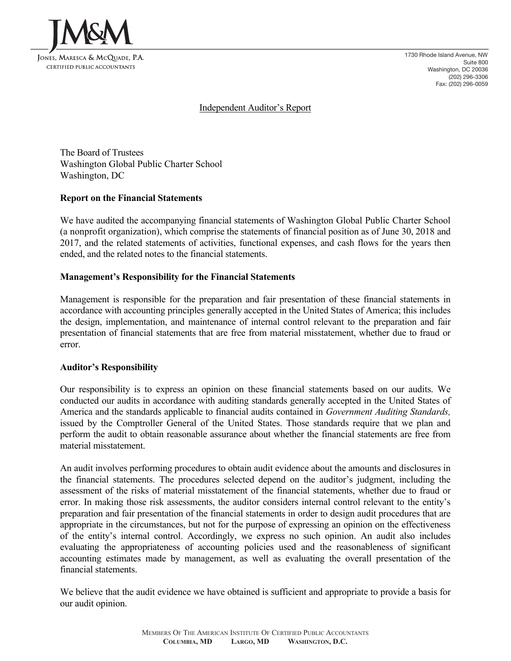

1730 Rhode Island Avenue, NW Suite 800 Washington, DC 20036 (202) 296-3306 Fax: (202) 296-0059

## Independent Auditor's Report

The Board of Trustees Washington Global Public Charter School Washington, DC

### **Report on the Financial Statements**

We have audited the accompanying financial statements of Washington Global Public Charter School (a nonprofit organization), which comprise the statements of financial position as of June 30, 2018 and 2017, and the related statements of activities, functional expenses, and cash flows for the years then ended, and the related notes to the financial statements.

### **Management's Responsibility for the Financial Statements**

Management is responsible for the preparation and fair presentation of these financial statements in accordance with accounting principles generally accepted in the United States of America; this includes the design, implementation, and maintenance of internal control relevant to the preparation and fair presentation of financial statements that are free from material misstatement, whether due to fraud or error.

### **Auditor's Responsibility**

Our responsibility is to express an opinion on these financial statements based on our audits. We conducted our audits in accordance with auditing standards generally accepted in the United States of America and the standards applicable to financial audits contained in *Government Auditing Standards,* issued by the Comptroller General of the United States. Those standards require that we plan and perform the audit to obtain reasonable assurance about whether the financial statements are free from material misstatement.

An audit involves performing procedures to obtain audit evidence about the amounts and disclosures in the financial statements. The procedures selected depend on the auditor's judgment, including the assessment of the risks of material misstatement of the financial statements, whether due to fraud or error. In making those risk assessments, the auditor considers internal control relevant to the entity's preparation and fair presentation of the financial statements in order to design audit procedures that are appropriate in the circumstances, but not for the purpose of expressing an opinion on the effectiveness of the entity's internal control. Accordingly, we express no such opinion. An audit also includes evaluating the appropriateness of accounting policies used and the reasonableness of significant accounting estimates made by management, as well as evaluating the overall presentation of the financial statements.

We believe that the audit evidence we have obtained is sufficient and appropriate to provide a basis for our audit opinion.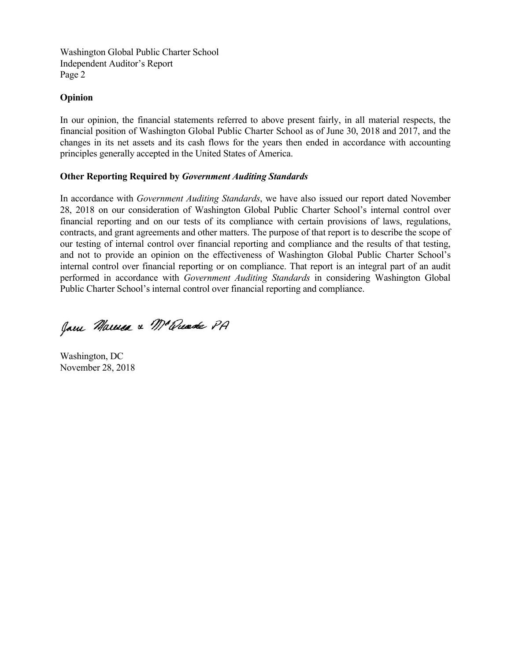Washington Global Public Charter School Independent Auditor's Report Page 2

### **Opinion**

In our opinion, the financial statements referred to above present fairly, in all material respects, the financial position of Washington Global Public Charter School as of June 30, 2018 and 2017, and the changes in its net assets and its cash flows for the years then ended in accordance with accounting principles generally accepted in the United States of America.

## **Other Reporting Required by** *Government Auditing Standards*

In accordance with *Government Auditing Standards*, we have also issued our report dated November 28, 2018 on our consideration of Washington Global Public Charter School's internal control over financial reporting and on our tests of its compliance with certain provisions of laws, regulations, contracts, and grant agreements and other matters. The purpose of that report is to describe the scope of our testing of internal control over financial reporting and compliance and the results of that testing, and not to provide an opinion on the effectiveness of Washington Global Public Charter School's internal control over financial reporting or on compliance. That report is an integral part of an audit performed in accordance with *Government Auditing Standards* in considering Washington Global Public Charter School's internal control over financial reporting and compliance.

Jam Marmer & Mc Quade PA

Washington, DC November 28, 2018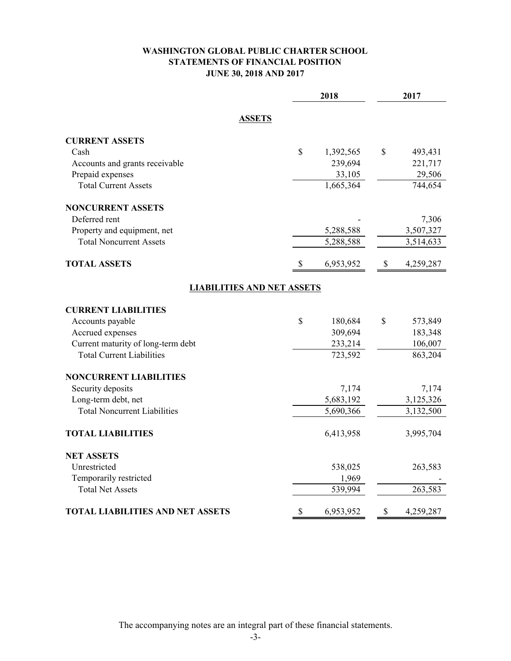## **WASHINGTON GLOBAL PUBLIC CHARTER SCHOOL STATEMENTS OF FINANCIAL POSITION JUNE 30, 2018 AND 2017**

|                                         |               | 2018      |    | 2017      |
|-----------------------------------------|---------------|-----------|----|-----------|
|                                         | <b>ASSETS</b> |           |    |           |
| <b>CURRENT ASSETS</b>                   |               |           |    |           |
| Cash                                    | \$            | 1,392,565 | \$ | 493,431   |
| Accounts and grants receivable          |               | 239,694   |    | 221,717   |
| Prepaid expenses                        |               | 33,105    |    | 29,506    |
| <b>Total Current Assets</b>             |               | 1,665,364 |    | 744,654   |
| <b>NONCURRENT ASSETS</b>                |               |           |    |           |
| Deferred rent                           |               |           |    | 7,306     |
| Property and equipment, net             |               | 5,288,588 |    | 3,507,327 |
| <b>Total Noncurrent Assets</b>          |               | 5,288,588 |    | 3,514,633 |
| <b>TOTAL ASSETS</b>                     | $\$$          | 6,953,952 | \$ | 4,259,287 |
| <b>LIABILITIES AND NET ASSETS</b>       |               |           |    |           |
| <b>CURRENT LIABILITIES</b>              |               |           |    |           |
| Accounts payable                        | \$            | 180,684   | \$ | 573,849   |
| Accrued expenses                        |               | 309,694   |    | 183,348   |
| Current maturity of long-term debt      |               | 233,214   |    | 106,007   |
| <b>Total Current Liabilities</b>        |               | 723,592   |    | 863,204   |
| <b>NONCURRENT LIABILITIES</b>           |               |           |    |           |
| Security deposits                       |               | 7,174     |    | 7,174     |
| Long-term debt, net                     |               | 5,683,192 |    | 3,125,326 |
| <b>Total Noncurrent Liabilities</b>     |               | 5,690,366 |    | 3,132,500 |
| <b>TOTAL LIABILITIES</b>                |               | 6,413,958 |    | 3,995,704 |
| <b>NET ASSETS</b>                       |               |           |    |           |
| Unrestricted                            |               | 538,025   |    | 263,583   |
| Temporarily restricted                  |               | 1,969     |    |           |
| <b>Total Net Assets</b>                 |               | 539,994   |    | 263,583   |
| <b>TOTAL LIABILITIES AND NET ASSETS</b> | $\mathcal{S}$ | 6,953,952 | \$ | 4,259,287 |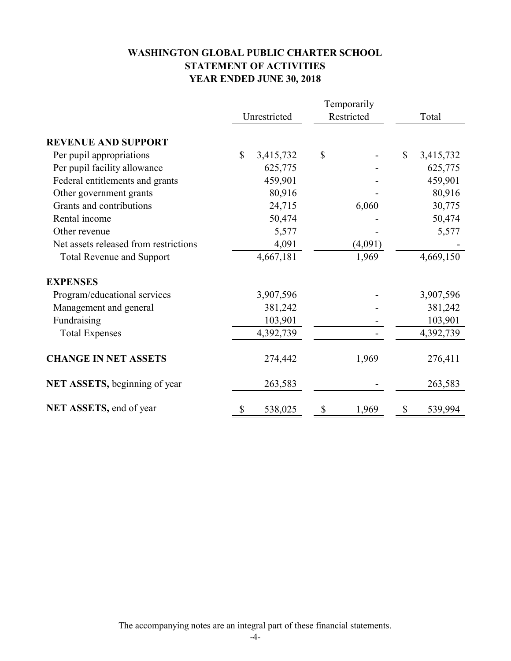# **WASHINGTON GLOBAL PUBLIC CHARTER SCHOOL STATEMENT OF ACTIVITIES YEAR ENDED JUNE 30, 2018**

|                                       | Temporarily  |              |    |            |              |           |
|---------------------------------------|--------------|--------------|----|------------|--------------|-----------|
|                                       |              | Unrestricted |    | Restricted | Total        |           |
| <b>REVENUE AND SUPPORT</b>            |              |              |    |            |              |           |
| Per pupil appropriations              | $\mathbb{S}$ | 3,415,732    | \$ |            | $\mathbb{S}$ | 3,415,732 |
| Per pupil facility allowance          |              | 625,775      |    |            |              | 625,775   |
| Federal entitlements and grants       |              | 459,901      |    |            |              | 459,901   |
| Other government grants               |              | 80,916       |    |            |              | 80,916    |
| Grants and contributions              |              | 24,715       |    | 6,060      |              | 30,775    |
| Rental income                         |              | 50,474       |    |            |              | 50,474    |
| Other revenue                         |              | 5,577        |    |            |              | 5,577     |
| Net assets released from restrictions |              | 4,091        |    | (4,091)    |              |           |
| <b>Total Revenue and Support</b>      |              | 4,667,181    |    | 1,969      |              | 4,669,150 |
| <b>EXPENSES</b>                       |              |              |    |            |              |           |
| Program/educational services          |              | 3,907,596    |    |            |              | 3,907,596 |
| Management and general                |              | 381,242      |    |            |              | 381,242   |
| Fundraising                           |              | 103,901      |    |            |              | 103,901   |
| <b>Total Expenses</b>                 |              | 4,392,739    |    |            |              | 4,392,739 |
| <b>CHANGE IN NET ASSETS</b>           |              | 274,442      |    | 1,969      |              | 276,411   |
| NET ASSETS, beginning of year         |              | 263,583      |    |            |              | 263,583   |
| NET ASSETS, end of year               | \$           | 538,025      | \$ | 1,969      | \$           | 539,994   |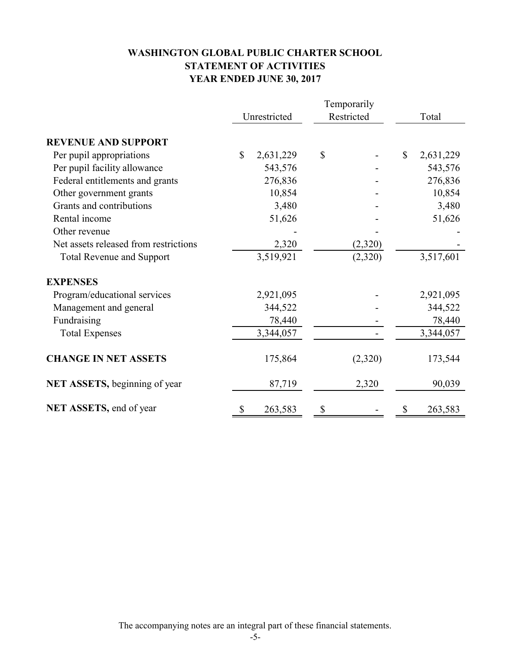# **WASHINGTON GLOBAL PUBLIC CHARTER SCHOOL STATEMENT OF ACTIVITIES YEAR ENDED JUNE 30, 2017**

|                                       | Temporarily  |           |              |         |              |           |
|---------------------------------------|--------------|-----------|--------------|---------|--------------|-----------|
|                                       | Unrestricted |           | Restricted   |         | Total        |           |
| <b>REVENUE AND SUPPORT</b>            |              |           |              |         |              |           |
| Per pupil appropriations              | $\mathbb{S}$ | 2,631,229 | $\mathbb{S}$ |         | $\mathbb{S}$ | 2,631,229 |
| Per pupil facility allowance          |              | 543,576   |              |         |              | 543,576   |
| Federal entitlements and grants       |              | 276,836   |              |         |              | 276,836   |
| Other government grants               |              | 10,854    |              |         |              | 10,854    |
| Grants and contributions              |              | 3,480     |              |         |              | 3,480     |
| Rental income                         |              | 51,626    |              |         |              | 51,626    |
| Other revenue                         |              |           |              |         |              |           |
| Net assets released from restrictions |              | 2,320     |              | (2,320) |              |           |
| <b>Total Revenue and Support</b>      |              | 3,519,921 |              | (2,320) |              | 3,517,601 |
| <b>EXPENSES</b>                       |              |           |              |         |              |           |
| Program/educational services          |              | 2,921,095 |              |         |              | 2,921,095 |
| Management and general                |              | 344,522   |              |         |              | 344,522   |
| Fundraising                           |              | 78,440    |              |         |              | 78,440    |
| <b>Total Expenses</b>                 |              | 3,344,057 |              |         |              | 3,344,057 |
| <b>CHANGE IN NET ASSETS</b>           |              | 175,864   |              | (2,320) |              | 173,544   |
| NET ASSETS, beginning of year         |              | 87,719    |              | 2,320   |              | 90,039    |
| NET ASSETS, end of year               | \$           | 263,583   | \$           |         | \$           | 263,583   |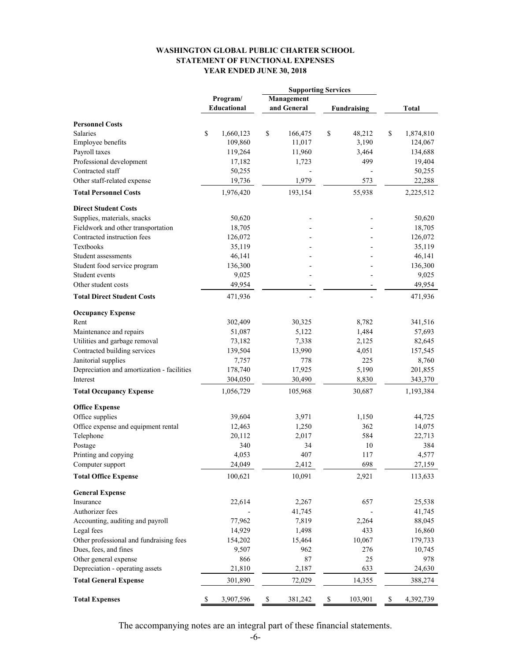#### **WASHINGTON GLOBAL PUBLIC CHARTER SCHOOL STATEMENT OF FUNCTIONAL EXPENSES YEAR ENDED JUNE 30, 2018**

|                                                             |                     | <b>Supporting Services</b> |             |                    |                     |
|-------------------------------------------------------------|---------------------|----------------------------|-------------|--------------------|---------------------|
|                                                             | Program/            | Management                 |             |                    |                     |
|                                                             | <b>Educational</b>  | and General                |             | <b>Fundraising</b> | <b>Total</b>        |
| <b>Personnel Costs</b>                                      |                     |                            |             |                    |                     |
| <b>Salaries</b>                                             | \$<br>1,660,123     | \$<br>166,475              | \$          | 48,212             | \$<br>1,874,810     |
| <b>Employee benefits</b>                                    | 109,860             | 11,017                     |             | 3,190              | 124,067             |
| Payroll taxes                                               | 119,264             | 11,960                     |             | 3,464              | 134,688             |
| Professional development                                    | 17,182              | 1,723                      |             | 499                | 19,404              |
| Contracted staff                                            | 50,255              |                            |             |                    | 50,255              |
|                                                             |                     |                            |             |                    |                     |
| Other staff-related expense<br><b>Total Personnel Costs</b> | 19,736<br>1,976,420 | 1,979<br>193,154           |             | 573<br>55,938      | 22,288<br>2,225,512 |
|                                                             |                     |                            |             |                    |                     |
| <b>Direct Student Costs</b>                                 |                     |                            |             |                    |                     |
| Supplies, materials, snacks                                 | 50,620              |                            |             |                    | 50,620              |
| Fieldwork and other transportation                          | 18,705              |                            |             |                    | 18,705              |
| Contracted instruction fees                                 | 126,072             |                            |             |                    | 126,072             |
| Textbooks                                                   | 35,119              |                            |             |                    | 35,119              |
| Student assessments                                         | 46,141              |                            |             |                    | 46,141              |
| Student food service program                                | 136,300             |                            |             |                    | 136,300             |
| Student events                                              | 9,025               |                            |             |                    | 9,025               |
| Other student costs                                         | 49,954              |                            |             |                    | 49,954              |
| <b>Total Direct Student Costs</b>                           | 471,936             |                            |             |                    | 471,936             |
| <b>Occupancy Expense</b>                                    |                     |                            |             |                    |                     |
| Rent                                                        | 302,409             | 30,325                     |             | 8,782              | 341,516             |
| Maintenance and repairs                                     | 51,087              | 5,122                      |             | 1,484              | 57,693              |
| Utilities and garbage removal                               | 73,182              | 7,338                      |             | 2,125              | 82,645              |
| Contracted building services                                | 139,504             | 13,990                     |             | 4,051              | 157,545             |
| Janitorial supplies                                         | 7,757               | 778                        |             | 225                | 8,760               |
| Depreciation and amortization - facilities                  | 178,740             | 17,925                     |             | 5,190              | 201,855             |
| Interest                                                    | 304,050             | 30,490                     |             | 8,830              | 343,370             |
| <b>Total Occupancy Expense</b>                              | 1,056,729           | 105,968                    |             | 30,687             | 1,193,384           |
| <b>Office Expense</b>                                       |                     |                            |             |                    |                     |
| Office supplies                                             | 39,604              | 3,971                      |             | 1,150              | 44,725              |
| Office expense and equipment rental                         | 12,463              | 1,250                      |             | 362                | 14,075              |
| Telephone                                                   | 20,112              | 2,017                      |             | 584                | 22,713              |
| Postage                                                     | 340                 | 34                         |             | 10                 | 384                 |
| Printing and copying                                        | 4,053               | 407                        |             | 117                | 4,577               |
| Computer support                                            | 24,049              | 2,412                      |             | 698                | 27,159              |
| <b>Total Office Expense</b>                                 | 100,621             | 10,091                     |             | 2,921              | 113,633             |
| <b>General Expense</b>                                      |                     |                            |             |                    |                     |
| Insurance                                                   | 22,614              | 2,267                      |             | 657                | 25,538              |
| Authorizer fees                                             |                     | 41,745                     |             |                    | 41,745              |
| Accounting, auditing and payroll                            | 77,962              | 7,819                      |             | 2,264              | 88,045              |
| Legal fees                                                  | 14,929              | 1,498                      |             | 433                | 16,860              |
| Other professional and fundraising fees                     | 154,202             | 15,464                     |             | 10,067             | 179,733             |
| Dues, fees, and fines                                       | 9,507               | 962                        |             | 276                |                     |
|                                                             |                     |                            |             |                    | 10,745              |
| Other general expense<br>Depreciation - operating assets    | 866                 | $87\,$                     |             | 25                 | 978                 |
|                                                             | 21,810              | 2,187                      |             | 633                | 24,630              |
| <b>Total General Expense</b>                                | 301,890             | 72,029                     |             | 14,355             | 388,274             |
| <b>Total Expenses</b>                                       | \$<br>3,907,596     | \$<br>381,242              | $\mathbb S$ | 103,901            | \$<br>4,392,739     |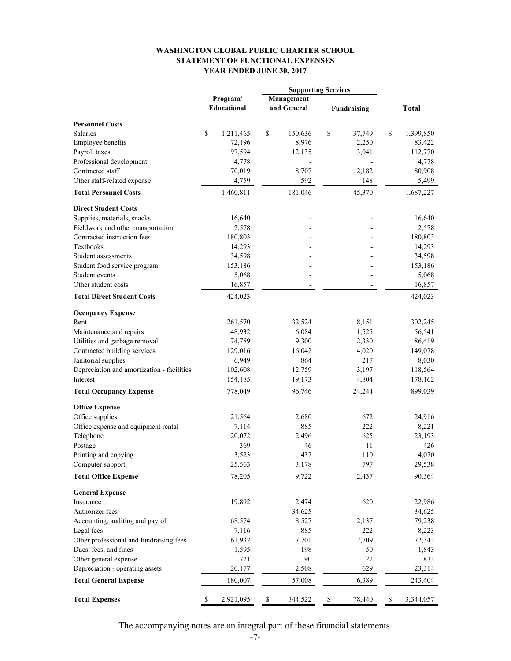#### **WASHINGTON GLOBAL PUBLIC CHARTER SCHOOL STATEMENT OF FUNCTIONAL EXPENSES YEAR ENDED JUNE 30, 2017**

|                                            |                    |             | <b>Supporting Services</b> |                    |                 |
|--------------------------------------------|--------------------|-------------|----------------------------|--------------------|-----------------|
|                                            | Program/           |             | Management                 |                    |                 |
|                                            | <b>Educational</b> |             | and General                | <b>Fundraising</b> | <b>Total</b>    |
| <b>Personnel Costs</b>                     |                    |             |                            |                    |                 |
| <b>Salaries</b>                            | \$<br>1,211,465    | \$          | 150,636                    | \$<br>37,749       | \$<br>1,399,850 |
| <b>Employee benefits</b>                   | 72,196             |             | 8,976                      | 2,250              | 83,422          |
| Payroll taxes                              | 97,594             |             | 12,135                     | 3,041              | 112,770         |
| Professional development                   | 4,778              |             |                            |                    | 4,778           |
| Contracted staff                           | 70,019             |             | 8,707                      | 2,182              | 80,908          |
| Other staff-related expense                | 4,759              |             | 592                        | 148                | 5,499           |
| <b>Total Personnel Costs</b>               | 1,460,811          |             | 181,046                    | 45,370             | 1,687,227       |
|                                            |                    |             |                            |                    |                 |
| <b>Direct Student Costs</b>                |                    |             |                            |                    |                 |
| Supplies, materials, snacks                | 16,640             |             |                            |                    | 16,640          |
| Fieldwork and other transportation         | 2,578              |             |                            |                    | 2,578           |
| Contracted instruction fees                | 180,803            |             |                            |                    | 180,803         |
| Textbooks                                  | 14,293             |             |                            |                    | 14,293          |
| Student assessments                        | 34,598             |             |                            |                    | 34,598          |
| Student food service program               | 153,186            |             |                            |                    | 153,186         |
| Student events                             | 5,068              |             |                            |                    | 5,068           |
| Other student costs                        | 16,857             |             |                            |                    | 16,857          |
| <b>Total Direct Student Costs</b>          | 424,023            |             |                            |                    | 424,023         |
| <b>Occupancy Expense</b>                   |                    |             |                            |                    |                 |
| Rent                                       | 261,570            |             | 32,524                     | 8,151              | 302,245         |
| Maintenance and repairs                    | 48,932             |             | 6,084                      | 1,525              | 56,541          |
| Utilities and garbage removal              | 74,789             |             | 9,300                      | 2,330              | 86,419          |
| Contracted building services               | 129,016            |             | 16,042                     | 4,020              | 149,078         |
| Janitorial supplies                        | 6,949              |             | 864                        | 217                | 8,030           |
| Depreciation and amortization - facilities | 102,608            |             | 12,759                     | 3,197              | 118,564         |
| Interest                                   | 154,185            |             | 19,173                     | 4,804              | 178,162         |
| <b>Total Occupancy Expense</b>             | 778,049            |             | 96,746                     | 24,244             | 899,039         |
| <b>Office Expense</b>                      |                    |             |                            |                    |                 |
| Office supplies                            | 21,564             |             | 2,680                      | 672                | 24,916          |
| Office expense and equipment rental        | 7,114              |             | 885                        | 222                | 8,221           |
| Telephone                                  | 20,072             |             | 2,496                      | 625                | 23,193          |
| Postage                                    | 369                |             | 46                         | 11                 | 426             |
| Printing and copying                       | 3,523              |             | 437                        | 110                | 4,070           |
| Computer support                           | 25,563             |             | 3,178                      | 797                | 29,538          |
| <b>Total Office Expense</b>                | 78,205             |             | 9,722                      | 2,437              | 90,364          |
| <b>General Expense</b>                     |                    |             |                            |                    |                 |
| Insurance                                  | 19,892             |             | 2,474                      | 620                | 22,986          |
| Authorizer fees                            |                    |             | 34,625                     |                    | 34,625          |
| Accounting, auditing and payroll           | 68,574             |             | 8,527                      | 2,137              | 79,238          |
| Legal fees                                 | 7,116              |             | 885                        | 222                | 8,223           |
| Other professional and fundraising fees    | 61,932             |             | 7,701                      | 2,709              | 72,342          |
| Dues, fees, and fines                      | 1,595              |             | 198                        | 50                 | 1,843           |
| Other general expense                      | 721                |             | 90                         | 22                 | 833             |
| Depreciation - operating assets            | 20,177             |             | 2,508                      | 629                | 23,314          |
| <b>Total General Expense</b>               | 180,007            |             | 57,008                     | 6,389              | 243,404         |
|                                            |                    |             |                            |                    |                 |
| <b>Total Expenses</b>                      | \$<br>2,921,095    | $\mathbb S$ | 344,522                    | \$<br>78,440       | \$<br>3,344,057 |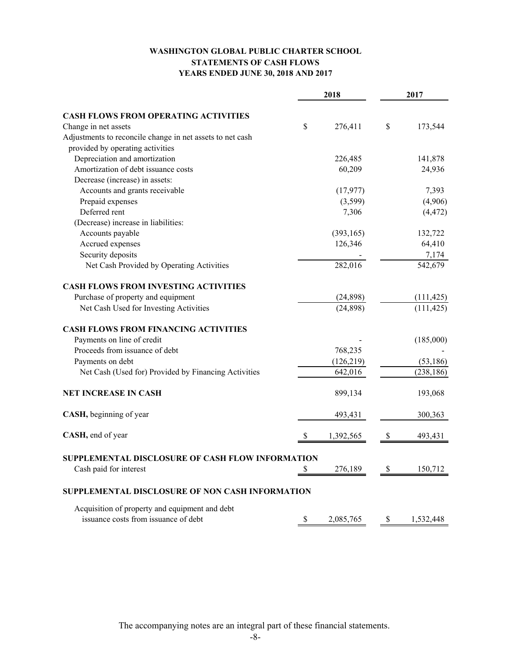## **WASHINGTON GLOBAL PUBLIC CHARTER SCHOOL STATEMENTS OF CASH FLOWS YEARS ENDED JUNE 30, 2018 AND 2017**

|                                                           |    | 2018       | 2017                      |            |
|-----------------------------------------------------------|----|------------|---------------------------|------------|
| <b>CASH FLOWS FROM OPERATING ACTIVITIES</b>               |    |            |                           |            |
| Change in net assets                                      | \$ | 276,411    | \$                        | 173,544    |
| Adjustments to reconcile change in net assets to net cash |    |            |                           |            |
| provided by operating activities                          |    |            |                           |            |
| Depreciation and amortization                             |    | 226,485    |                           | 141,878    |
| Amortization of debt issuance costs                       |    | 60,209     |                           | 24,936     |
|                                                           |    |            |                           |            |
| Decrease (increase) in assets:                            |    |            |                           |            |
| Accounts and grants receivable                            |    | (17, 977)  |                           | 7,393      |
| Prepaid expenses                                          |    | (3,599)    |                           | (4,906)    |
| Deferred rent                                             |    | 7,306      |                           | (4, 472)   |
| (Decrease) increase in liabilities:                       |    |            |                           |            |
| Accounts payable                                          |    | (393, 165) |                           | 132,722    |
| Accrued expenses                                          |    | 126,346    |                           | 64,410     |
| Security deposits                                         |    |            |                           | 7,174      |
| Net Cash Provided by Operating Activities                 |    | 282,016    |                           | 542,679    |
| <b>CASH FLOWS FROM INVESTING ACTIVITIES</b>               |    |            |                           |            |
| Purchase of property and equipment                        |    | (24,898)   |                           | (111, 425) |
| Net Cash Used for Investing Activities                    |    | (24,898)   |                           | (111, 425) |
| <b>CASH FLOWS FROM FINANCING ACTIVITIES</b>               |    |            |                           |            |
| Payments on line of credit                                |    |            |                           | (185,000)  |
| Proceeds from issuance of debt                            |    | 768,235    |                           |            |
| Payments on debt                                          |    | (126, 219) |                           | (53, 186)  |
| Net Cash (Used for) Provided by Financing Activities      |    | 642,016    |                           | (238, 186) |
| <b>NET INCREASE IN CASH</b>                               |    | 899,134    |                           | 193,068    |
| CASH, beginning of year                                   |    | 493,431    |                           | 300, 363   |
| CASH, end of year                                         | \$ | 1,392,565  | \$                        | 493,431    |
| SUPPLEMENTAL DISCLOSURE OF CASH FLOW INFORMATION          |    |            |                           |            |
| Cash paid for interest                                    | \$ | 276,189    | $\boldsymbol{\mathsf{S}}$ | 150,712    |
|                                                           |    |            |                           |            |
| SUPPLEMENTAL DISCLOSURE OF NON CASH INFORMATION           |    |            |                           |            |
| Acquisition of property and equipment and debt            |    |            |                           |            |
| issuance costs from issuance of debt                      | \$ | 2,085,765  | \$                        | 1,532,448  |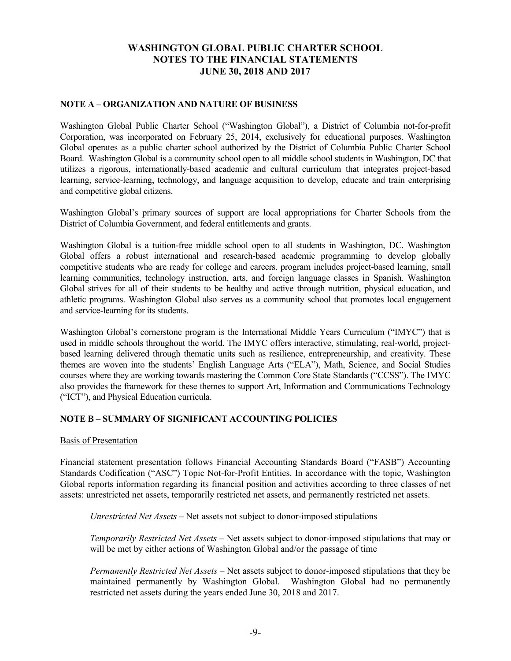### **NOTE A – ORGANIZATION AND NATURE OF BUSINESS**

Washington Global Public Charter School ("Washington Global"), a District of Columbia not-for-profit Corporation, was incorporated on February 25, 2014, exclusively for educational purposes. Washington Global operates as a public charter school authorized by the District of Columbia Public Charter School Board. Washington Global is a community school open to all middle school students in Washington, DC that utilizes a rigorous, internationally-based academic and cultural curriculum that integrates project-based learning, service-learning, technology, and language acquisition to develop, educate and train enterprising and competitive global citizens.

Washington Global's primary sources of support are local appropriations for Charter Schools from the District of Columbia Government, and federal entitlements and grants.

Washington Global is a tuition-free middle school open to all students in Washington, DC. Washington Global offers a robust international and research-based academic programming to develop globally competitive students who are ready for college and careers. program includes project-based learning, small learning communities, technology instruction, arts, and foreign language classes in Spanish. Washington Global strives for all of their students to be healthy and active through nutrition, physical education, and athletic programs. Washington Global also serves as a community school that promotes local engagement and service-learning for its students.

Washington Global's cornerstone program is the International Middle Years Curriculum ("IMYC") that is used in middle schools throughout the world. The IMYC offers interactive, stimulating, real-world, projectbased learning delivered through thematic units such as resilience, entrepreneurship, and creativity. These themes are woven into the students' English Language Arts ("ELA"), Math, Science, and Social Studies courses where they are working towards mastering the Common Core State Standards ("CCSS"). The IMYC also provides the framework for these themes to support Art, Information and Communications Technology ("ICT"), and Physical Education curricula.

### **NOTE B – SUMMARY OF SIGNIFICANT ACCOUNTING POLICIES**

### Basis of Presentation

Financial statement presentation follows Financial Accounting Standards Board ("FASB") Accounting Standards Codification ("ASC") Topic Not-for-Profit Entities. In accordance with the topic, Washington Global reports information regarding its financial position and activities according to three classes of net assets: unrestricted net assets, temporarily restricted net assets, and permanently restricted net assets.

*Unrestricted Net Assets* – Net assets not subject to donor-imposed stipulations

*Temporarily Restricted Net Assets* – Net assets subject to donor-imposed stipulations that may or will be met by either actions of Washington Global and/or the passage of time

*Permanently Restricted Net Assets* – Net assets subject to donor-imposed stipulations that they be maintained permanently by Washington Global. Washington Global had no permanently restricted net assets during the years ended June 30, 2018 and 2017.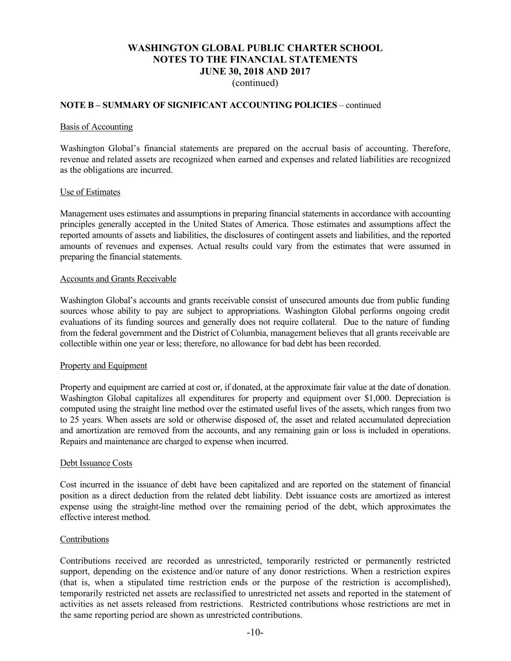(continued)

### **NOTE B – SUMMARY OF SIGNIFICANT ACCOUNTING POLICIES** – continued

#### Basis of Accounting

Washington Global's financial statements are prepared on the accrual basis of accounting. Therefore, revenue and related assets are recognized when earned and expenses and related liabilities are recognized as the obligations are incurred.

#### Use of Estimates

Management uses estimates and assumptions in preparing financial statements in accordance with accounting principles generally accepted in the United States of America. Those estimates and assumptions affect the reported amounts of assets and liabilities, the disclosures of contingent assets and liabilities, and the reported amounts of revenues and expenses. Actual results could vary from the estimates that were assumed in preparing the financial statements.

#### Accounts and Grants Receivable

Washington Global's accounts and grants receivable consist of unsecured amounts due from public funding sources whose ability to pay are subject to appropriations. Washington Global performs ongoing credit evaluations of its funding sources and generally does not require collateral. Due to the nature of funding from the federal government and the District of Columbia, management believes that all grants receivable are collectible within one year or less; therefore, no allowance for bad debt has been recorded.

#### Property and Equipment

Property and equipment are carried at cost or, if donated, at the approximate fair value at the date of donation. Washington Global capitalizes all expenditures for property and equipment over \$1,000. Depreciation is computed using the straight line method over the estimated useful lives of the assets, which ranges from two to 25 years. When assets are sold or otherwise disposed of, the asset and related accumulated depreciation and amortization are removed from the accounts, and any remaining gain or loss is included in operations. Repairs and maintenance are charged to expense when incurred.

#### Debt Issuance Costs

Cost incurred in the issuance of debt have been capitalized and are reported on the statement of financial position as a direct deduction from the related debt liability. Debt issuance costs are amortized as interest expense using the straight-line method over the remaining period of the debt, which approximates the effective interest method.

#### Contributions

Contributions received are recorded as unrestricted, temporarily restricted or permanently restricted support, depending on the existence and/or nature of any donor restrictions. When a restriction expires (that is, when a stipulated time restriction ends or the purpose of the restriction is accomplished), temporarily restricted net assets are reclassified to unrestricted net assets and reported in the statement of activities as net assets released from restrictions. Restricted contributions whose restrictions are met in the same reporting period are shown as unrestricted contributions.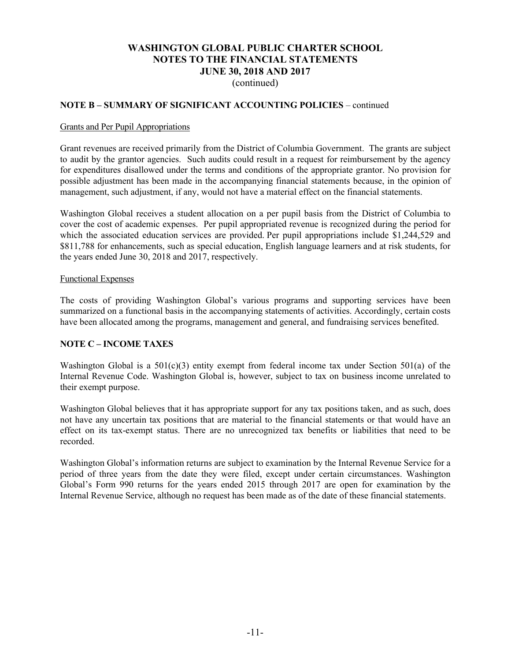(continued)

### **NOTE B – SUMMARY OF SIGNIFICANT ACCOUNTING POLICIES** – continued

#### Grants and Per Pupil Appropriations

Grant revenues are received primarily from the District of Columbia Government. The grants are subject to audit by the grantor agencies. Such audits could result in a request for reimbursement by the agency for expenditures disallowed under the terms and conditions of the appropriate grantor. No provision for possible adjustment has been made in the accompanying financial statements because, in the opinion of management, such adjustment, if any, would not have a material effect on the financial statements.

Washington Global receives a student allocation on a per pupil basis from the District of Columbia to cover the cost of academic expenses. Per pupil appropriated revenue is recognized during the period for which the associated education services are provided. Per pupil appropriations include \$1,244,529 and \$811,788 for enhancements, such as special education, English language learners and at risk students, for the years ended June 30, 2018 and 2017, respectively.

#### Functional Expenses

The costs of providing Washington Global's various programs and supporting services have been summarized on a functional basis in the accompanying statements of activities. Accordingly, certain costs have been allocated among the programs, management and general, and fundraising services benefited.

### **NOTE C – INCOME TAXES**

Washington Global is a  $501(c)(3)$  entity exempt from federal income tax under Section  $501(a)$  of the Internal Revenue Code. Washington Global is, however, subject to tax on business income unrelated to their exempt purpose.

Washington Global believes that it has appropriate support for any tax positions taken, and as such, does not have any uncertain tax positions that are material to the financial statements or that would have an effect on its tax-exempt status. There are no unrecognized tax benefits or liabilities that need to be recorded.

Washington Global's information returns are subject to examination by the Internal Revenue Service for a period of three years from the date they were filed, except under certain circumstances. Washington Global's Form 990 returns for the years ended 2015 through 2017 are open for examination by the Internal Revenue Service, although no request has been made as of the date of these financial statements.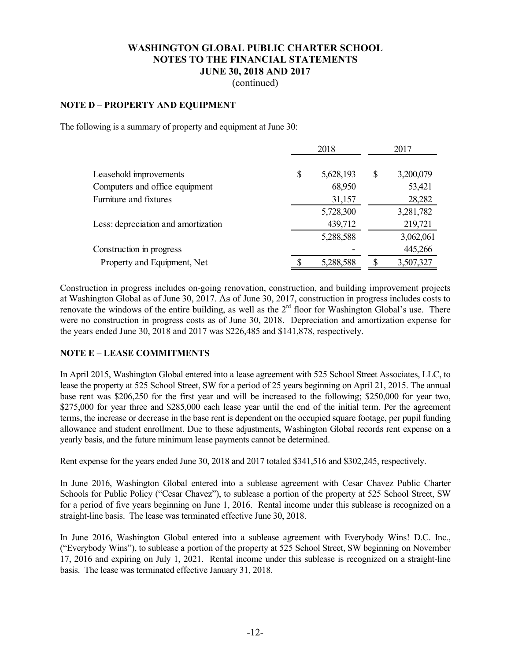(continued)

### **NOTE D – PROPERTY AND EQUIPMENT**

The following is a summary of property and equipment at June 30:

|                                     |   | 2018      | 2017 |           |  |
|-------------------------------------|---|-----------|------|-----------|--|
| Leasehold improvements              | S | 5,628,193 | S    | 3,200,079 |  |
| Computers and office equipment      |   | 68,950    |      | 53,421    |  |
| Furniture and fixtures              |   | 31,157    |      | 28,282    |  |
|                                     |   | 5,728,300 |      | 3,281,782 |  |
| Less: depreciation and amortization |   | 439,712   |      | 219,721   |  |
|                                     |   | 5,288,588 |      | 3,062,061 |  |
| Construction in progress            |   |           |      | 445,266   |  |
| Property and Equipment, Net         |   | 5,288,588 |      | 3,507,327 |  |

Construction in progress includes on-going renovation, construction, and building improvement projects at Washington Global as of June 30, 2017. As of June 30, 2017, construction in progress includes costs to renovate the windows of the entire building, as well as the  $2<sup>rd</sup>$  floor for Washington Global's use. There were no construction in progress costs as of June 30, 2018. Depreciation and amortization expense for the years ended June 30, 2018 and 2017 was \$226,485 and \$141,878, respectively.

## **NOTE E – LEASE COMMITMENTS**

In April 2015, Washington Global entered into a lease agreement with 525 School Street Associates, LLC, to lease the property at 525 School Street, SW for a period of 25 years beginning on April 21, 2015. The annual base rent was \$206,250 for the first year and will be increased to the following; \$250,000 for year two, \$275,000 for year three and \$285,000 each lease year until the end of the initial term. Per the agreement terms, the increase or decrease in the base rent is dependent on the occupied square footage, per pupil funding allowance and student enrollment. Due to these adjustments, Washington Global records rent expense on a yearly basis, and the future minimum lease payments cannot be determined.

Rent expense for the years ended June 30, 2018 and 2017 totaled \$341,516 and \$302,245, respectively.

In June 2016, Washington Global entered into a sublease agreement with Cesar Chavez Public Charter Schools for Public Policy ("Cesar Chavez"), to sublease a portion of the property at 525 School Street, SW for a period of five years beginning on June 1, 2016. Rental income under this sublease is recognized on a straight-line basis. The lease was terminated effective June 30, 2018.

In June 2016, Washington Global entered into a sublease agreement with Everybody Wins! D.C. Inc., ("Everybody Wins"), to sublease a portion of the property at 525 School Street, SW beginning on November 17, 2016 and expiring on July 1, 2021. Rental income under this sublease is recognized on a straight-line basis. The lease was terminated effective January 31, 2018.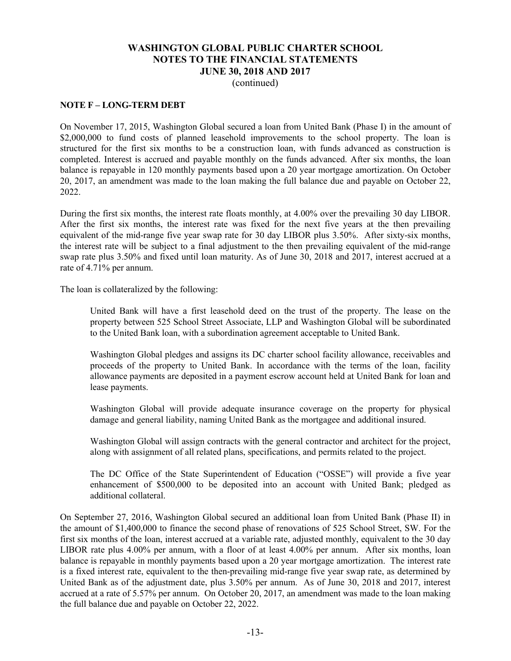(continued)

### **NOTE F – LONG-TERM DEBT**

On November 17, 2015, Washington Global secured a loan from United Bank (Phase I) in the amount of \$2,000,000 to fund costs of planned leasehold improvements to the school property. The loan is structured for the first six months to be a construction loan, with funds advanced as construction is completed. Interest is accrued and payable monthly on the funds advanced. After six months, the loan balance is repayable in 120 monthly payments based upon a 20 year mortgage amortization. On October 20, 2017, an amendment was made to the loan making the full balance due and payable on October 22, 2022.

During the first six months, the interest rate floats monthly, at 4.00% over the prevailing 30 day LIBOR. After the first six months, the interest rate was fixed for the next five years at the then prevailing equivalent of the mid-range five year swap rate for 30 day LIBOR plus 3.50%. After sixty-six months, the interest rate will be subject to a final adjustment to the then prevailing equivalent of the mid-range swap rate plus 3.50% and fixed until loan maturity. As of June 30, 2018 and 2017, interest accrued at a rate of 4.71% per annum.

The loan is collateralized by the following:

United Bank will have a first leasehold deed on the trust of the property. The lease on the property between 525 School Street Associate, LLP and Washington Global will be subordinated to the United Bank loan, with a subordination agreement acceptable to United Bank.

Washington Global pledges and assigns its DC charter school facility allowance, receivables and proceeds of the property to United Bank. In accordance with the terms of the loan, facility allowance payments are deposited in a payment escrow account held at United Bank for loan and lease payments.

Washington Global will provide adequate insurance coverage on the property for physical damage and general liability, naming United Bank as the mortgagee and additional insured.

Washington Global will assign contracts with the general contractor and architect for the project, along with assignment of all related plans, specifications, and permits related to the project.

The DC Office of the State Superintendent of Education ("OSSE") will provide a five year enhancement of \$500,000 to be deposited into an account with United Bank; pledged as additional collateral.

On September 27, 2016, Washington Global secured an additional loan from United Bank (Phase II) in the amount of \$1,400,000 to finance the second phase of renovations of 525 School Street, SW. For the first six months of the loan, interest accrued at a variable rate, adjusted monthly, equivalent to the 30 day LIBOR rate plus 4.00% per annum, with a floor of at least 4.00% per annum. After six months, loan balance is repayable in monthly payments based upon a 20 year mortgage amortization. The interest rate is a fixed interest rate, equivalent to the then-prevailing mid-range five year swap rate, as determined by United Bank as of the adjustment date, plus 3.50% per annum. As of June 30, 2018 and 2017, interest accrued at a rate of 5.57% per annum. On October 20, 2017, an amendment was made to the loan making the full balance due and payable on October 22, 2022.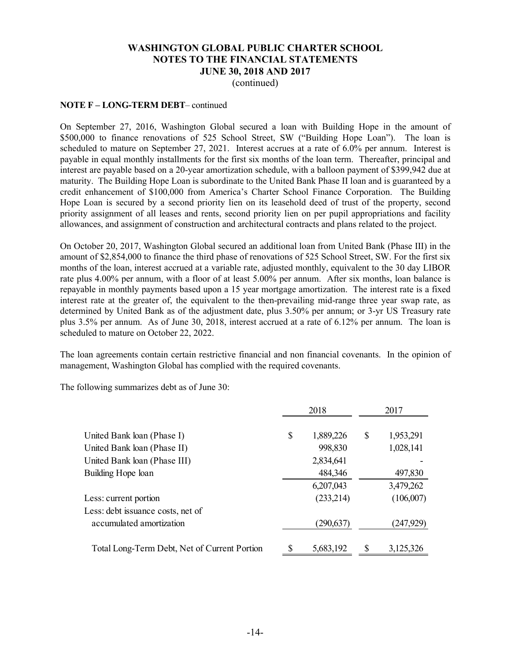(continued)

#### **NOTE F – LONG-TERM DEBT**– continued

On September 27, 2016, Washington Global secured a loan with Building Hope in the amount of \$500,000 to finance renovations of 525 School Street, SW ("Building Hope Loan"). The loan is scheduled to mature on September 27, 2021. Interest accrues at a rate of 6.0% per annum. Interest is payable in equal monthly installments for the first six months of the loan term. Thereafter, principal and interest are payable based on a 20-year amortization schedule, with a balloon payment of \$399,942 due at maturity. The Building Hope Loan is subordinate to the United Bank Phase II loan and is guaranteed by a credit enhancement of \$100,000 from America's Charter School Finance Corporation. The Building Hope Loan is secured by a second priority lien on its leasehold deed of trust of the property, second priority assignment of all leases and rents, second priority lien on per pupil appropriations and facility allowances, and assignment of construction and architectural contracts and plans related to the project.

On October 20, 2017, Washington Global secured an additional loan from United Bank (Phase III) in the amount of \$2,854,000 to finance the third phase of renovations of 525 School Street, SW. For the first six months of the loan, interest accrued at a variable rate, adjusted monthly, equivalent to the 30 day LIBOR rate plus 4.00% per annum, with a floor of at least 5.00% per annum. After six months, loan balance is repayable in monthly payments based upon a 15 year mortgage amortization. The interest rate is a fixed interest rate at the greater of, the equivalent to the then-prevailing mid-range three year swap rate, as determined by United Bank as of the adjustment date, plus 3.50% per annum; or 3-yr US Treasury rate plus 3.5% per annum. As of June 30, 2018, interest accrued at a rate of 6.12% per annum. The loan is scheduled to mature on October 22, 2022.

The loan agreements contain certain restrictive financial and non financial covenants. In the opinion of management, Washington Global has complied with the required covenants.

The following summarizes debt as of June 30:

| United Bank loan (Phase I)                   |  | 2018       | 2017 |           |  |
|----------------------------------------------|--|------------|------|-----------|--|
|                                              |  | 1,889,226  | \$   | 1,953,291 |  |
| United Bank loan (Phase II)                  |  | 998,830    |      | 1,028,141 |  |
| United Bank loan (Phase III)                 |  | 2,834,641  |      |           |  |
| Building Hope loan                           |  | 484,346    |      | 497,830   |  |
|                                              |  | 6,207,043  |      | 3,479,262 |  |
| Less: current portion                        |  | (233,214)  |      | (106,007) |  |
| Less: debt issuance costs, net of            |  |            |      |           |  |
| accumulated amortization                     |  | (290, 637) |      | (247,929) |  |
| Total Long-Term Debt, Net of Current Portion |  | 5,683,192  |      | 3,125,326 |  |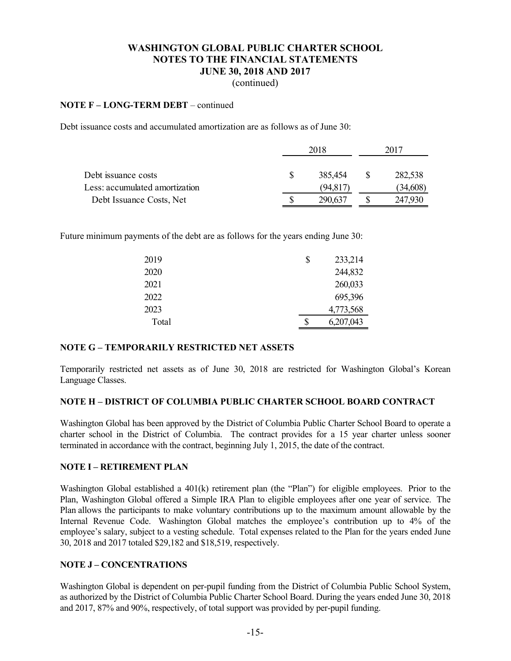(continued)

### **NOTE F – LONG-TERM DEBT** – continued

Debt issuance costs and accumulated amortization are as follows as of June 30:

|                                | 2018 |          |  | 2017     |
|--------------------------------|------|----------|--|----------|
| Debt issuance costs            |      | 385,454  |  | 282,538  |
| Less: accumulated amortization |      | (94,817) |  | (34,608) |
| Debt Issuance Costs, Net       |      | 290,637  |  | 247.930  |

Future minimum payments of the debt are as follows for the years ending June 30:

| 2019  | \$<br>233,214   |
|-------|-----------------|
| 2020  | 244,832         |
| 2021  | 260,033         |
| 2022  | 695,396         |
| 2023  | 4,773,568       |
| Total | \$<br>6,207,043 |

### **NOTE G – TEMPORARILY RESTRICTED NET ASSETS**

Temporarily restricted net assets as of June 30, 2018 are restricted for Washington Global's Korean Language Classes.

### **NOTE H – DISTRICT OF COLUMBIA PUBLIC CHARTER SCHOOL BOARD CONTRACT**

Washington Global has been approved by the District of Columbia Public Charter School Board to operate a charter school in the District of Columbia. The contract provides for a 15 year charter unless sooner terminated in accordance with the contract, beginning July 1, 2015, the date of the contract.

#### **NOTE I – RETIREMENT PLAN**

Washington Global established a 401(k) retirement plan (the "Plan") for eligible employees. Prior to the Plan, Washington Global offered a Simple IRA Plan to eligible employees after one year of service. The Plan allows the participants to make voluntary contributions up to the maximum amount allowable by the Internal Revenue Code. Washington Global matches the employee's contribution up to 4% of the employee's salary, subject to a vesting schedule. Total expenses related to the Plan for the years ended June 30, 2018 and 2017 totaled \$29,182 and \$18,519, respectively.

### **NOTE J – CONCENTRATIONS**

Washington Global is dependent on per-pupil funding from the District of Columbia Public School System, as authorized by the District of Columbia Public Charter School Board. During the years ended June 30, 2018 and 2017, 87% and 90%, respectively, of total support was provided by per-pupil funding.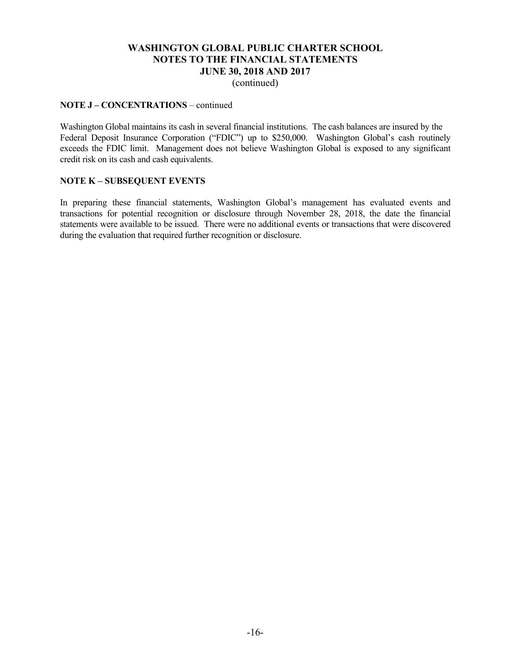(continued)

### **NOTE J – CONCENTRATIONS** – continued

Washington Global maintains its cash in several financial institutions. The cash balances are insured by the Federal Deposit Insurance Corporation ("FDIC") up to \$250,000. Washington Global's cash routinely exceeds the FDIC limit. Management does not believe Washington Global is exposed to any significant credit risk on its cash and cash equivalents.

## **NOTE K – SUBSEQUENT EVENTS**

In preparing these financial statements, Washington Global's management has evaluated events and transactions for potential recognition or disclosure through November 28, 2018, the date the financial statements were available to be issued. There were no additional events or transactions that were discovered during the evaluation that required further recognition or disclosure.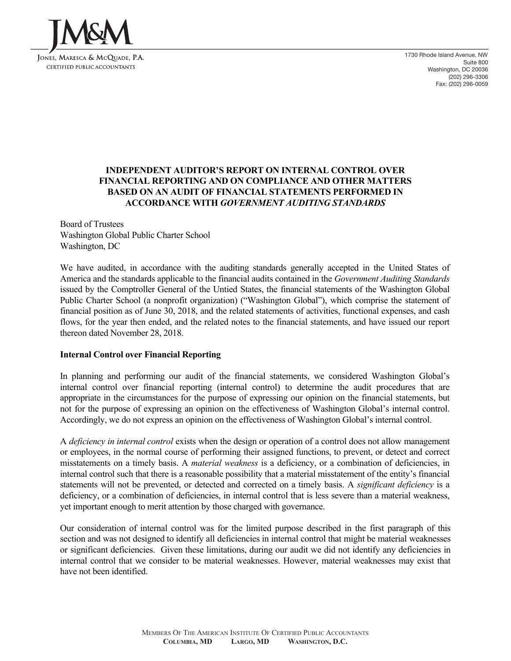

1730 Rhode Island Avenue, NW Suite 800 Washington, DC 20036 (202) 296-3306 Fax: (202) 296-0059

## **INDEPENDENT AUDITOR'S REPORT ON INTERNAL CONTROL OVER FINANCIAL REPORTING AND ON COMPLIANCE AND OTHER MATTERS BASED ON AN AUDIT OF FINANCIAL STATEMENTS PERFORMED IN ACCORDANCE WITH** *GOVERNMENT AUDITING STANDARDS*

Board of Trustees Washington Global Public Charter School Washington, DC

We have audited, in accordance with the auditing standards generally accepted in the United States of America and the standards applicable to the financial audits contained in the *Government Auditing Standards* issued by the Comptroller General of the Untied States, the financial statements of the Washington Global Public Charter School (a nonprofit organization) ("Washington Global"), which comprise the statement of financial position as of June 30, 2018, and the related statements of activities, functional expenses, and cash flows, for the year then ended, and the related notes to the financial statements, and have issued our report thereon dated November 28, 2018.

### **Internal Control over Financial Reporting**

In planning and performing our audit of the financial statements, we considered Washington Global's internal control over financial reporting (internal control) to determine the audit procedures that are appropriate in the circumstances for the purpose of expressing our opinion on the financial statements, but not for the purpose of expressing an opinion on the effectiveness of Washington Global's internal control. Accordingly, we do not express an opinion on the effectiveness of Washington Global's internal control.

A *deficiency in internal control* exists when the design or operation of a control does not allow management or employees, in the normal course of performing their assigned functions, to prevent, or detect and correct misstatements on a timely basis. A *material weakness* is a deficiency, or a combination of deficiencies, in internal control such that there is a reasonable possibility that a material misstatement of the entity's financial statements will not be prevented, or detected and corrected on a timely basis. A *significant deficiency* is a deficiency, or a combination of deficiencies, in internal control that is less severe than a material weakness, yet important enough to merit attention by those charged with governance.

Our consideration of internal control was for the limited purpose described in the first paragraph of this section and was not designed to identify all deficiencies in internal control that might be material weaknesses or significant deficiencies. Given these limitations, during our audit we did not identify any deficiencies in internal control that we consider to be material weaknesses. However, material weaknesses may exist that have not been identified.